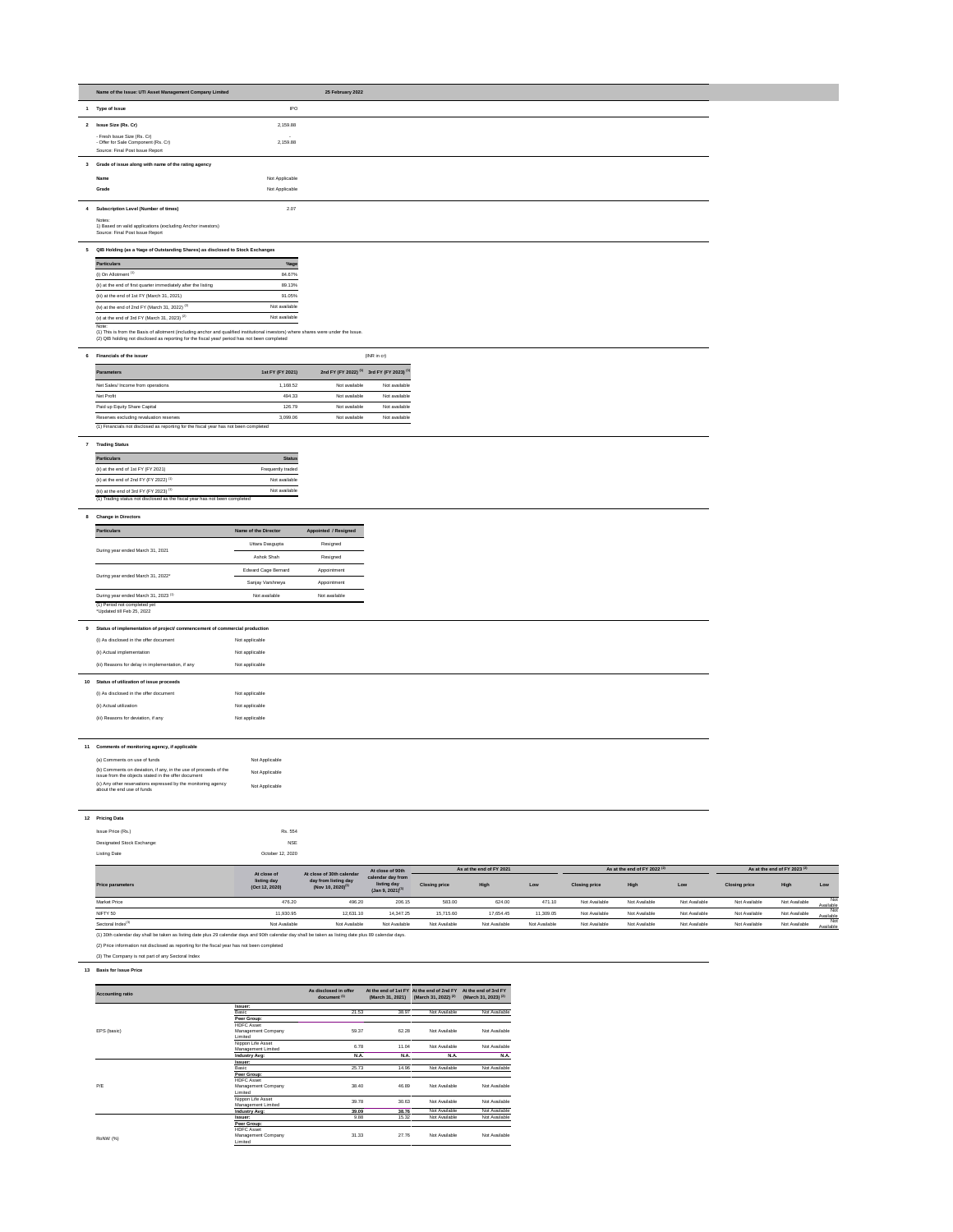| Name of the Issue: UTI Asset Management Company Limited                                                  |                    | 25 February 2022 |  |
|----------------------------------------------------------------------------------------------------------|--------------------|------------------|--|
| <b>Type of Issue</b>                                                                                     | IPO                |                  |  |
| 2 Issue Size (Rs. Cr)                                                                                    | 2,159.88           |                  |  |
| - Fresh Issue Size (Rs. Cr)<br>- Offer for Sale Component (Rs. Cr)<br>Source: Final Post Issue Report    | $\sim$<br>2,159.88 |                  |  |
| Grade of issue along with name of the rating agency<br>$\mathbf{3}$                                      |                    |                  |  |
| Name                                                                                                     | Not Applicable     |                  |  |
| Grade                                                                                                    | Not Applicable     |                  |  |
| <b>Subscription Level (Number of times)</b><br>4                                                         | 2.07               |                  |  |
| Notes:<br>1) Based on valid applications (excluding Anchor investors)<br>Source: Final Post Issue Report |                    |                  |  |
| QIB Holding (as a %age of Outstanding Shares) as disclosed to Stock Exchanges<br>5                       |                    |                  |  |

| (i) On Allotment $(1)$<br>(ii) at the end of first quarter immediately after the listing<br>(iii) at the end of 1st $FY$ (March 31, 2021)<br>(iv) at the end of 2nd FY (March 31, 2022) <sup>(2)</sup> |               |
|--------------------------------------------------------------------------------------------------------------------------------------------------------------------------------------------------------|---------------|
|                                                                                                                                                                                                        | 84.67%        |
|                                                                                                                                                                                                        | 89.13%        |
|                                                                                                                                                                                                        | 91.05%        |
|                                                                                                                                                                                                        | Not available |
| (v) at the end of 3rd FY (March 31, 2023) $(2)$                                                                                                                                                        | Not available |

Note:

(1) This is from the Basis of allotment (including anchor and qualified institutional investors) where shares were under the Issue.

(2) QIB holding not disclosed as reporting for the fiscal year/ period has not been completed

| 6. | <b>Financials of the issuer</b>                                                      |                  |                                                                 | (INR in cr)   |
|----|--------------------------------------------------------------------------------------|------------------|-----------------------------------------------------------------|---------------|
|    | <b>Parameters</b>                                                                    | 1st FY (FY 2021) | 2nd FY (FY 2022) <sup>(1)</sup> 3rd FY (FY 2023) <sup>(1)</sup> |               |
|    | Net Sales/ Income from operations                                                    | 1,168.52         | Not available                                                   | Not available |
|    | Net Profit                                                                           | 494.33           | Not available                                                   | Not available |
|    | Paid up Equity Share Capital                                                         | 126.79           | Not available                                                   | Not available |
|    | Reserves excluding revaluation reserves                                              | 3,099.06         | Not available                                                   | Not available |
|    | (1) Financials not disclosed as reporting for the fiscal year has not been completed |                  |                                                                 |               |

## **7 Trading Status**

| <b>Particulars</b>                                                         | <b>Status</b>     |
|----------------------------------------------------------------------------|-------------------|
| (ii) at the end of 1st $FY$ ( $FY$ 2021)                                   | Frequently traded |
| (ii) at the end of 2nd FY (FY 2022) <sup>(1)</sup>                         | Not available     |
| (iii) at the end of 3rd FY (FY 2023) <sup>(1)</sup>                        | Not available     |
| (1) Trading status not disclosed as the fiscal year has not been completed |                   |

## **9 Status of implementation of project/ commencement of commercial production**

|    | (i) As disclosed in the offer document            | Not applicable |
|----|---------------------------------------------------|----------------|
|    | (ii) Actual implementation                        | Not applicable |
|    | (iii) Reasons for delay in implementation, if any | Not applicable |
| 10 | Status of utilization of issue proceeds           |                |
|    | (i) As disclosed in the offer document            | Not applicable |

| (ii) Actual utilization             | Not applicable |
|-------------------------------------|----------------|
| (iii) Reasons for deviation, if any | Not applicable |

## **11 Comments of monitoring agency, if applicable**

| (a) Comments on use of funds                                                                                            | Not Applicable |
|-------------------------------------------------------------------------------------------------------------------------|----------------|
| (b) Comments on deviation, if any, in the use of proceeds of the<br>issue from the objects stated in the offer document | Not Applicable |
| (c) Any other reservations expressed by the monitoring agency<br>about the end use of funds                             | Not Applicable |

## **12 Pricing Data**

| Issue Price (Rs.)          | Rs. 554          |  |
|----------------------------|------------------|--|
| Designated Stock Exchange: | <b>NSE</b>       |  |
| <b>Listing Date</b>        | October 12, 2020 |  |

| <b>Particulars</b>                                         | Name of the Director       | Appointed / Resigned |
|------------------------------------------------------------|----------------------------|----------------------|
| During year ended March 31, 2021                           | Uttara Dasgupta            | Resigned             |
|                                                            | Ashok Shah                 | Resigned             |
| During year ended March 31, 2022*                          | <b>Edward Cage Bernard</b> | Appointment          |
|                                                            | Sanjay Varshneya           | Appointment          |
| During year ended March 31, 2023 <sup>(1)</sup>            | Not available              | Not available        |
| (1) Period not completed yet<br>*Updated till Feb 25, 2022 |                            |                      |

(1) 30th calendar day shall be taken as listing date plus 29 calendar days and 90th calendar day shall be taken as listing date plus 89 calendar days.

(2) Price information not disclosed as reporting for the fiscal year has not been completed

(3) The Company is not part of any Sectoral Index

### **13 Basis for Issue Price**

|                               |                                              |                                                                                    |                                                                  |                      |               |               |                      | As at the end of FY 2021<br>At close of 90th |               |                      | As at the end of FY 2022 $(2)$ |                  |  | As at the end of FY 2023 $(2)$ |  |  |
|-------------------------------|----------------------------------------------|------------------------------------------------------------------------------------|------------------------------------------------------------------|----------------------|---------------|---------------|----------------------|----------------------------------------------|---------------|----------------------|--------------------------------|------------------|--|--------------------------------|--|--|
| <b>Price parameters</b>       | At close of<br>listing day<br>(Oct 12, 2020) | At close of 30th calendar<br>day from listing day<br>(Nov 10, 2020) <sup>(1)</sup> | calendar day from<br>listing day<br>(Jan 9, 2021) <sup>(1)</sup> | <b>Closing price</b> | High          | Low           | <b>Closing price</b> | High                                         | Low           | <b>Closing price</b> | High                           | Low              |  |                                |  |  |
| <b>Market Price</b>           | 476.20                                       | 496.20                                                                             | 206.15                                                           | 583.00               | 624.00        | 471.10        | Not Available        | Not Available                                | Not Available | Not Available        | Not Available                  | Not<br>Availablr |  |                                |  |  |
| NIFTY 50                      | 11,930.95                                    | 12,631.10                                                                          | 14,347.25                                                        | 15,715.60            | 17,654.45     | 11,309.05     | Not Available        | Not Available                                | Not Available | Not Available        | Not Available                  | Available        |  |                                |  |  |
| Sectoral Index <sup>(3)</sup> | Not Available                                | Not Available                                                                      | Not Available                                                    | Not Available        | Not Available | Not Available | Not Available        | Not Available                                | Not Available | Not Available        | Not Available                  | Available        |  |                                |  |  |

| <b>Accounting ratio</b> |                    | As disclosed in offer<br>document <sup>(1)</sup> | (March 31, 2021) | At the end of 1st FY At the end of 2nd FY<br>(March 31, 2022) <sup>(2)</sup> | At the end of 3rd FY<br>(March 31, 2023) <sup>(2)</sup> |
|-------------------------|--------------------|--------------------------------------------------|------------------|------------------------------------------------------------------------------|---------------------------------------------------------|
|                         | Issuer:            |                                                  |                  |                                                                              |                                                         |
|                         | <b>Basic</b>       | 21.53                                            | 38.97            | Not Available                                                                | Not Available                                           |
|                         | Peer Group:        |                                                  |                  |                                                                              |                                                         |
|                         | <b>HDFC Asset</b>  |                                                  |                  |                                                                              |                                                         |
| EPS (basic)             | Management Company | 59.37                                            | 62.28            | Not Available                                                                | Not Available                                           |

|                 | Limited                            |             |             |               |               |
|-----------------|------------------------------------|-------------|-------------|---------------|---------------|
|                 | Nippon Life Asset                  | 6.78        | 11.04       | Not Available | Not Available |
|                 | Management Limited                 |             |             |               |               |
|                 | <b>Industry Avg:</b>               | <b>N.A.</b> | <b>N.A.</b> | <b>N.A.</b>   | <b>N.A.</b>   |
|                 | Issuer:                            |             |             |               |               |
|                 | Basic                              | 25.73       | 14.96       | Not Available | Not Available |
|                 | Peer Group:                        |             |             |               |               |
|                 | <b>HDFC Asset</b>                  |             |             |               |               |
| P/E             | Management Company                 | 38.40       | 46.89       | Not Available | Not Available |
|                 | Limited                            |             |             |               |               |
|                 | Nippon Life Asset                  |             |             | Not Available |               |
|                 | Management Limited                 | 39.78       | 30.63       |               | Not Available |
|                 | <b>Industry Avg:</b>               | 39.09       | 38.76       | Not Available | Not Available |
|                 | <b>Issuer:</b>                     | 9.88        | 15.32       | Not Available | Not Available |
|                 | Peer Group:                        |             |             |               |               |
|                 | <b>HDFC Asset</b>                  |             |             |               |               |
| <b>RoNW</b> (%) | 31.33<br><b>Management Company</b> |             | 27.76       | Not Available | Not Available |
|                 | Limited                            |             |             |               |               |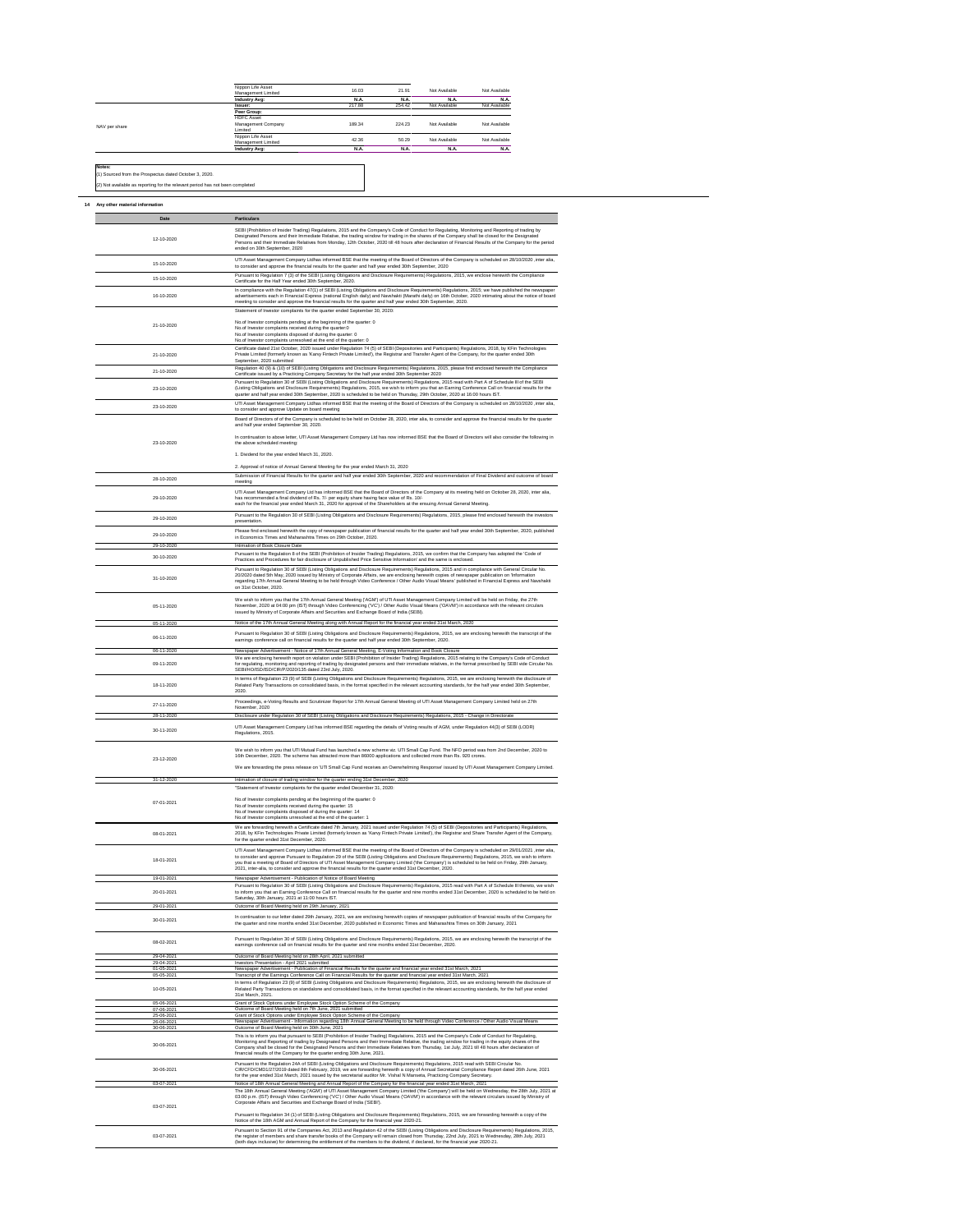| Nippon Life Asset<br><b>Management Limited</b> | 16.03  | 21.91       | Not Available | Not Available |
|------------------------------------------------|--------|-------------|---------------|---------------|
| <b>Industry Avg:</b>                           | N.A.   | <b>N.A.</b> | N.A.          | <b>N.A.</b>   |
| <b>Issuer:</b>                                 | 217.88 | 254.42      | Not Available | Not Available |
| Peer Group:                                    |        |             |               |               |
| <b>HDFC Asset</b>                              |        |             |               |               |
| <b>Management Company</b>                      | 189.34 | 224.23      | Not Available | Not Available |
| Limited                                        |        |             |               |               |
| Nippon Life Asset                              |        |             |               | Not Available |
| <b>Management Limited</b>                      |        |             |               |               |
| <b>Industry Avg:</b>                           | N.A    | <b>N.A.</b> | N.A           | <b>N.A.</b>   |
|                                                |        | 42.36       | 50.29         | Not Available |

# **Notes:**

## **14 Any other material information**

(1) Sourced from the Prospectus dated October 3, 2020.

(2) Not available as reporting for the relevant period has not been completed

| Date                                   | <b>Particulars</b>                                                                                                                                                                                                                                                                                                                                                                                                                                                                                                                                                                                  |
|----------------------------------------|-----------------------------------------------------------------------------------------------------------------------------------------------------------------------------------------------------------------------------------------------------------------------------------------------------------------------------------------------------------------------------------------------------------------------------------------------------------------------------------------------------------------------------------------------------------------------------------------------------|
| 12-10-2020                             | SEBI (Prohibition of Insider Trading) Regulations, 2015 and the Company's Code of Conduct for Regulating, Monitoring and Reporting of trading by<br>Designated Persons and their Immediate Relative, the trading window for trading in the shares of the Company shall be closed for the Designated<br>Persons and their Immediate Relatives from Monday, 12th October, 2020 till 48 hours after declaration of Financial Results of the Company for the period<br>ended on 30th September, 2020                                                                                                    |
| 15-10-2020                             | UTI Asset Management Company Ltdhas informed BSE that the meeting of the Board of Directors of the Company is scheduled on 28/10/2020 ,inter alia,<br>to consider and approve the financial results for the quarter and half year ended 30th September, 2020                                                                                                                                                                                                                                                                                                                                        |
| 15-10-2020                             | Pursuant to Regulation 7 (3) of the SEBI (Listing Obligations and Disclosure Requirements) Regulations, 2015, we enclose herewith the Compliance<br>Certificate for the Half Year ended 30th September, 2020.<br>In compliance with the Regulation 47(1) of SEBI (Listing Obligations and Disclosure Requirements) Regulations, 2015; we have published the newspaper                                                                                                                                                                                                                               |
| 16-10-2020                             | advertisements each in Financial Express (national English daily) and Navshakti (Marathi daily) on 16th October, 2020 intimating about the notice of board<br>meeting to consider and approve the financial results for the quarter and half year ended 30th September, 2020.<br>Statement of Investor complaints for the quarter ended September 30, 2020:                                                                                                                                                                                                                                         |
| 21-10-2020                             | No.of Investor complaints pending at the beginning of the quarter: 0<br>No.of Investor complaints received during the quarter:0<br>No.of Investor complaints disposed of during the quarter: 0<br>No.of Investor complaints unresolved at the end of the quarter: 0                                                                                                                                                                                                                                                                                                                                 |
| 21-10-2020                             | Certificate dated 21st October, 2020 issued under Regulation 74 (5) of SEBI (Depositories and Participants) Regulations, 2018, by KFin Technologies<br>Private Limited (formerly known as 'Karvy Fintech Private Limited'), the Registrar and Transfer Agent of the Company, for the quarter ended 30th<br>September, 2020 submitted                                                                                                                                                                                                                                                                |
| 21-10-2020                             | Regulation 40 (9) & (10) of SEBI (Listing Obligations and Disclosure Requirements) Regulations, 2015, please find enclosed herewith the Compliance<br>Certificate issued by a Practicing Company Secretary for the half year ended 30th September 2020                                                                                                                                                                                                                                                                                                                                              |
| 23-10-2020                             | Pursuant to Regulation 30 of SEBI (Listing Obligations and Disclosure Requirements) Regulations, 2015 read with Part A of Schedule III of the SEBI<br>(Listing Obligations and Disclosure Requirements) Regulations, 2015, we wish to inform you that an Earning Conference Call on financial results for the<br>quarter and half year ended 30th September, 2020 is scheduled to be held on Thursday, 29th October, 2020 at 16:00 hours IST.<br>UTI Asset Management Company Ltdhas informed BSE that the meeting of the Board of Directors of the Company is scheduled on 28/10/2020 ,inter alia, |
| 23-10-2020                             | to consider and approve Update on board meeting<br>Board of Directors of of the Company is scheduled to be held on October 28, 2020, inter alia, to consider and approve the financial results for the quarter                                                                                                                                                                                                                                                                                                                                                                                      |
| 23-10-2020                             | and half year ended September 30, 2020.<br>In continuation to above letter, UTI Asset Management Company Ltd has now informed BSE that the Board of Directors will also consider the following in<br>the above scheduled meeting:                                                                                                                                                                                                                                                                                                                                                                   |
|                                        | 1. Dividend for the year ended March 31, 2020.                                                                                                                                                                                                                                                                                                                                                                                                                                                                                                                                                      |
| 28-10-2020                             | 2. Approval of notice of Annual General Meeting for the year ended March 31, 2020<br>Submission of Financial Results for the quarter and half year ended 30th September, 2020 and recommendation of Final Dividend and outcome of board                                                                                                                                                                                                                                                                                                                                                             |
| 29-10-2020                             | meeting<br>UTI Asset Management Company Ltd has informed BSE that the Board of Directors of the Company at its meeting held on Octiober 28, 2020, inter alia,<br>has recommended a final dividend of Rs. 7/- per equity share having face value of Rs. 10/-<br>each for the financial year ended March 31, 2020 for approval of the Shareholders at the ensuing Annual General Meeting.                                                                                                                                                                                                             |
| 29-10-2020                             | Pursuant to the Regulation 30 of SEBI (Listing Obligations and Disclosure Requirements) Regulations, 2015, please find enclosed herewith the investors<br>presentation.                                                                                                                                                                                                                                                                                                                                                                                                                             |
| 29-10-2020                             | Please find enclosed herewith the copy of newspaper publication of financial results for the quarter and half year ended 30th September, 2020, published<br>in Economics Times and Maharashtra Times on 29th October, 2020.                                                                                                                                                                                                                                                                                                                                                                         |
| 29-10-2020<br>30-10-2020               | Intimation of Book Closure Date<br>Pursuant to the Regulation 8 of the SEBI (Prohibition of Insider Trading) Regulations, 2015, we confirm that the Company has adopted the 'Code of<br>Practices and Procedures for fair disclosure of Unpublished Price Sensitive Information' and the same is enclosed.                                                                                                                                                                                                                                                                                          |
| 31-10-2020                             | Pursuant to Regulation 30 of SEBI (Listing Obligations and Disclosure Requirements) Regulations, 2015 and in compliance with General Circular No.<br>20/2020 dated 5th May, 2020 issued by Ministry of Corporate Affairs, we are enclosing herewith copies of newspaper publication on 'Information<br>regarding 17th Annual General Meeting to be held through Video Conference / Other Audio Visual Means' published in Financial Express and Navshakti<br>on 31st October, 2020.                                                                                                                 |
| 05-11-2020                             | We wish to inform you that the 17th Annual General Meeting ('AGM') of UTI Asset Management Company Limited will be held on Friday, the 27th<br>November, 2020 at 04:00 pm (IST) through Video Conferencing ('VC') / Other Audio Visual Means ('OAVM') in accordance with the relevant circulars<br>issued by Ministry of Corporate Affairs and Securities and Exchange Board of India (SEBI).                                                                                                                                                                                                       |
| 05-11-2020                             | Notice of the 17th Annual General Meeting along with Annual Report for the financial year ended 31st March, 2020                                                                                                                                                                                                                                                                                                                                                                                                                                                                                    |
| 06-11-2020                             | Pursuant to Regulation 30 of SEBI (Listing Obligations and Disclosure Requirements) Regulations, 2015, we are enclosing herewith the transcript of the<br>earnings conference call on financial results for the quarter and half year ended 30th September, 2020.                                                                                                                                                                                                                                                                                                                                   |
| 06-11-2020<br>09-11-2020               | Newspaper Advertisement - Notice of 17th Annual General Meeting, E-Voting Information and Book Closure<br>We are enclosing herewith report on violation under SEBI (Prohibition of Insider Trading) Regulations, 2015 relating to the Company's Code of Conduct<br>for regulating, monitoring and reporting of trading by designated persons and their immediate relatives, in the format prescribed by SEBI vide Circular No.<br>SEBI/HO/ISD/ISD/CIR/P/2020/135 dated 23rd July, 2020.                                                                                                             |
| 18-11-2020                             | In terms of Regulation 23 (9) of SEBI (Listing Obligations and Disclosure Requirements) Regulations, 2015, we are enclosing herewith the disclosure of<br>Related Party Transactions on consolidated basis, in the format specified in the relevant accounting standards, for the half year ended 30th September,<br>2020.                                                                                                                                                                                                                                                                          |
| 27-11-2020<br>28-11-2020               | Proceedings, e-Voting Results and Scrutinizer Report for 17th Annual General Meeting of UTI Asset Management Company Limited held on 27th<br>November, 2020<br>Disclosure under Regulation 30 of SEBI (Listing Obligations and Disclosure Requirements) Regulations, 2015 - Change in Directorate                                                                                                                                                                                                                                                                                                   |
| 30-11-2020                             | UTI Asset Management Company Ltd has informed BSE regarding the details of Voting results of AGM, under Regulation 44(3) of SEBI (LODR)<br>Regulations, 2015.                                                                                                                                                                                                                                                                                                                                                                                                                                       |
| 23-12-2020                             | We wish to inform you that UTI Mutual Fund has launched a new scheme viz. UTI Small Cap Fund. The NFO period was from 2nd December, 2020 to<br>16th December, 2020. The scheme has attracted more than 86000 applications and collected more than Rs. 920 crores.<br>We are forwarding the press release on 'UTI Small Cap Fund receives an Overwhelming Response' issued by UTI Asset Management Company Limited.                                                                                                                                                                                  |
| 31-12-2020                             | Intimation of closure of trading window for the quarter ending 31st December, 2020                                                                                                                                                                                                                                                                                                                                                                                                                                                                                                                  |
| 07-01-2021                             | "Statement of Investor complaints for the quarter ended December 31, 2020:<br>No.of Investor complaints pending at the beginning of the quarter: 0<br>No.of Investor complaints received during the quarter: 15<br>No.of Investor complaints disposed of during the quarter: 14                                                                                                                                                                                                                                                                                                                     |
| 08-01-2021                             | No.of Investor complaints unresolved at the end of the quarter: 1<br>We are forwarding herewith a Certificate dated 7th January, 2021 issued under Regulation 74 (5) of SEBI (Depositories and Participants) Regulations,<br>2018, by KFin Technologies Private Limited (formerly known as 'Karvy Fintech Private Limited'), the Registrar and Share Transfer Agent of the Company,<br>for the quarter ended 31st December, 2020.                                                                                                                                                                   |
| 18-01-2021                             | UTI Asset Management Company Ltdhas informed BSE that the meeting of the Board of Directors of the Company is scheduled on 29/01/2021 ,inter alia,<br>to consider and approve Pursuant to Regulation 29 of the SEBI (Listing Obligations and Disclosure Requirements) Regulations, 2015, we wish to inform<br>you that a meeting of Board of Directors of UTI Asset Management Company Limited ('the Company') is scheduled to be held on Friday, 29th January,<br>2021, inter-alia, to consider and approve the financial results for the quarter ended 31st December, 2020.                       |
| 19-01-2021                             | Newspaper Advertisement - Publication of Notice of Board Meeting<br>Pursuant to Regulation 30 of SEBI (Listing Obligations and Disclosure Requirements) Regulations, 2015 read with Part A of Schedule III thereto, we wish                                                                                                                                                                                                                                                                                                                                                                         |
| 20-01-2021<br>29-01-2021               | to inform you that an Earning Conference Call on financial results for the quarter and nine months ended 31st December, 2020 is scheduled to be held on<br>Saturday, 30th January, 2021 at 11:00 hours IST.<br>Outcome of Board Meeting held on 29th January, 2021                                                                                                                                                                                                                                                                                                                                  |
| 30-01-2021                             | In continuation to our letter dated 29th January, 2021, we are enclosing herewith copies of newspaper publication of financial results of the Company for<br>the quarter and nine months ended 31st December, 2020 published in Economic Times and Maharashtra Times on 30th January, 2021                                                                                                                                                                                                                                                                                                          |
| 08-02-2021<br>29-04-2021               | Pursuant to Regulation 30 of SEBI (Listing Obligations and Disclosure Requirements) Regulations, 2015, we are enclosing herewith the transcript of the<br>earnings conference call on financial results for the quarter and nine months ended 31st December, 2020.<br>Outcome of Board Meeting held on 28th April, 2021 submitted                                                                                                                                                                                                                                                                   |
| 29-04-2021<br>01-05-2021               | Investors Presentation - April 2021 submitted<br>Newspaper Advertisement - Publication of Financial Results for the quarter and financial year ended 31st March, 2021                                                                                                                                                                                                                                                                                                                                                                                                                               |
| 05-05-2021<br>10-05-2021               | Transcript of the Earnings Conference Call on Financial Results for the quarter and financial year ended 31st March, 2021<br>In terms of Regulation 23 (9) of SEBI (Listing Obligations and Disclosure Requirements) Regulations, 2015, we are enclosing herewith the disclosure of<br>Related Party Transactions on standalone and consolidated basis, in the format specified in the relevant accounting standards, for the half year ended<br>31st March, 2021.                                                                                                                                  |
| 05-06-2021<br>07-06-2021<br>25-06-2021 | Grant of Stock Options under Employee Stock Option Scheme of the Company<br>Outcome of Board Meeting held on 7th June, 2021 submitted<br>Grant of Stock Options under Employee Stock Option Scheme of the Company                                                                                                                                                                                                                                                                                                                                                                                   |
| 26-06-2021<br>30-06-2021               | Newspaper Advertisement - Information regarding 18th Annual General Meeting to be held through Video Conference / Other Audio Visual Means<br>Outcome of Board Meeting held on 30th June, 2021                                                                                                                                                                                                                                                                                                                                                                                                      |
| 30-06-2021                             | This is to inform you that pursuant to SEBI (Prohibition of Insider Trading) Regulations, 2015 and the Company's Code of Conduct for Regulating,<br>Monitoring and Reporting of trading by Designated Persons and their Immediate Relative, the trading window for trading in the equity shares of the<br>Company shall be closed for the Designated Persons and their Immediate Relatives from Thursday, 1st July, 2021 till 48 hours after declaration of<br>financial results of the Company for the quarter ending 30th June, 2021.                                                             |
| 30-06-2021                             | Pursuant to the Regulation 24A of SEBI (Listing Obligations and Disclosure Requirements) Regulations, 2015 read with SEBI Circular No.<br>CIR/CFD/CMD1/27/2019 dated 8th February, 2019, we are forwarding herewith a copy of Annual Secretarial Compliance Report dated 26th June, 2021<br>for the year ended 31st March, 2021 issued by the secretarial auditor Mr. Vishal N Manseta, Practicing Company Secretary.                                                                                                                                                                               |
| 03-07-2021<br>03-07-2021               | Notice of 18th Annual General Meeting and Annual Report of the Company for the financial year ended 31st March, 2021<br>The 18th Annual General Meeting ('AGM') of UTI Asset Management Company Limited ('the Company') will be held on Wednesday, the 28th July, 2021 at<br>03:00 p.m. (IST) through Video Conferencing ('VC') / Other Audio Visual Means ('OAVM') in accordance with the relevant circulars issued by Ministry of<br>Corporate Affairs and Securities and Exchange Board of India ('SEBI').                                                                                       |
|                                        | Pursuant to Regulation 34 (1) of SEBI (Listing Obligations and Disclosure Requirements) Regulations, 2015, we are forwarding herewith a copy of the<br>Notice of the 18th AGM and Annual Report of the Company for the financial year 2020-21.                                                                                                                                                                                                                                                                                                                                                      |
| 03-07-2021                             | Pursuant to Section 91 of the Companies Act, 2013 and Regulation 42 of the SEBI (Listing Obligations and Disclosure Requirements) Regulations, 2015,<br>the register of members and share transfer books of the Company will remain closed from Thursday, 22nd July, 2021 to Wednesday, 28th July, 2021<br>(both days inclusive) for determining the entitlement of the members to the dividend, if declared, for the financial year 2020-21.                                                                                                                                                       |